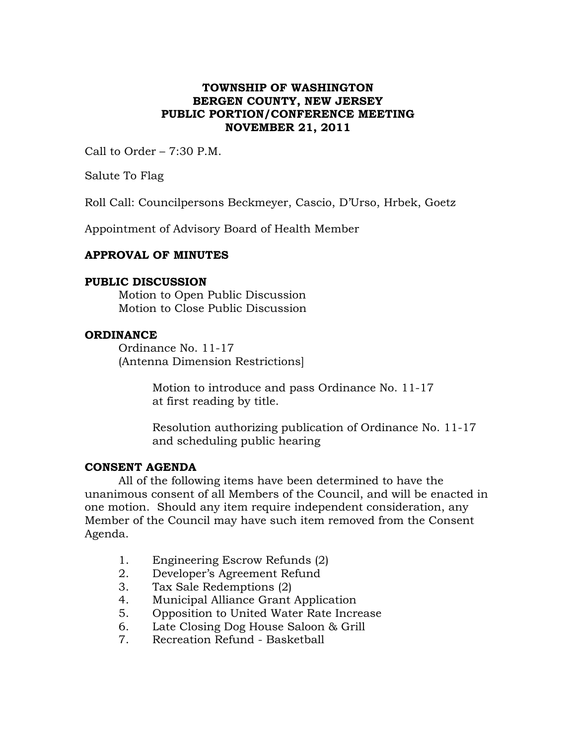# **TOWNSHIP OF WASHINGTON BERGEN COUNTY, NEW JERSEY PUBLIC PORTION/CONFERENCE MEETING NOVEMBER 21, 2011**

Call to Order – 7:30 P.M.

Salute To Flag

Roll Call: Councilpersons Beckmeyer, Cascio, D'Urso, Hrbek, Goetz

Appointment of Advisory Board of Health Member

### **APPROVAL OF MINUTES**

### **PUBLIC DISCUSSION**

Motion to Open Public Discussion Motion to Close Public Discussion

### **ORDINANCE**

Ordinance No. 11-17 (Antenna Dimension Restrictions]

> Motion to introduce and pass Ordinance No. 11-17 at first reading by title.

Resolution authorizing publication of Ordinance No. 11-17 and scheduling public hearing

### **CONSENT AGENDA**

All of the following items have been determined to have the unanimous consent of all Members of the Council, and will be enacted in one motion. Should any item require independent consideration, any Member of the Council may have such item removed from the Consent Agenda.

- 1. Engineering Escrow Refunds (2)
- 2. Developer's Agreement Refund
- 3. Tax Sale Redemptions (2)
- 4. Municipal Alliance Grant Application
- 5. Opposition to United Water Rate Increase
- 6. Late Closing Dog House Saloon & Grill
- 7. Recreation Refund Basketball